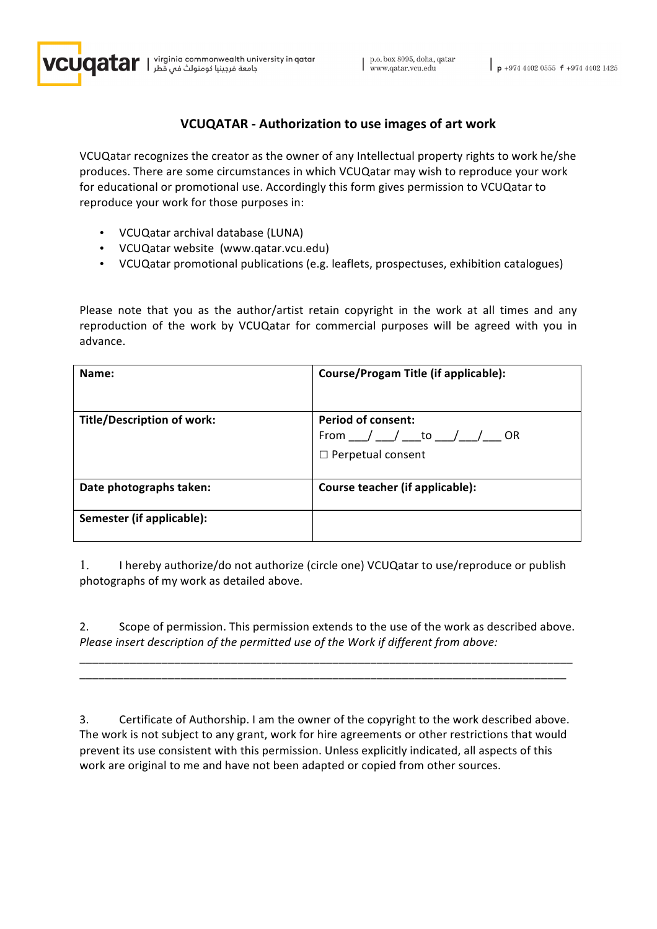## **VCUQATAR - Authorization to use images of art work**

VCUQatar recognizes the creator as the owner of any Intellectual property rights to work he/she produces. There are some circumstances in which VCUQatar may wish to reproduce your work for educational or promotional use. Accordingly this form gives permission to VCUQatar to reproduce your work for those purposes in:

- VCUQatar archival database (LUNA)
- VCUQatar website (www.gatar.vcu.edu)
- VCUQatar promotional publications (e.g. leaflets, prospectuses, exhibition catalogues)

Please note that you as the author/artist retain copyright in the work at all times and any reproduction of the work by VCUQatar for commercial purposes will be agreed with you in advance.

| Name:                             | Course/Progam Title (if applicable):                                                              |
|-----------------------------------|---------------------------------------------------------------------------------------------------|
| <b>Title/Description of work:</b> | <b>Period of consent:</b><br>From $\_\_\_\_\_\_\_\_\_\_\_\_\$<br>- OR<br>$\Box$ Perpetual consent |
| Date photographs taken:           | Course teacher (if applicable):                                                                   |
| Semester (if applicable):         |                                                                                                   |

1. Inereby authorize/do not authorize (circle one) VCUQatar to use/reproduce or publish photographs of my work as detailed above.

2. Scope of permission. This permission extends to the use of the work as described above. *Please insert description of the permitted use of the Work if different from above:* 

\_\_\_\_\_\_\_\_\_\_\_\_\_\_\_\_\_\_\_\_\_\_\_\_\_\_\_\_\_\_\_\_\_\_\_\_\_\_\_\_\_\_\_\_\_\_\_\_\_\_\_\_\_\_\_\_\_\_\_\_\_\_\_\_\_\_\_\_\_\_\_\_\_\_\_\_\_\_ \_\_\_\_\_\_\_\_\_\_\_\_\_\_\_\_\_\_\_\_\_\_\_\_\_\_\_\_\_\_\_\_\_\_\_\_\_\_\_\_\_\_\_\_\_\_\_\_\_\_\_\_\_\_\_\_\_\_\_\_\_\_\_\_\_\_\_\_\_\_\_\_\_\_\_\_\_

3. Certificate of Authorship. I am the owner of the copyright to the work described above. The work is not subject to any grant, work for hire agreements or other restrictions that would prevent its use consistent with this permission. Unless explicitly indicated, all aspects of this work are original to me and have not been adapted or copied from other sources.